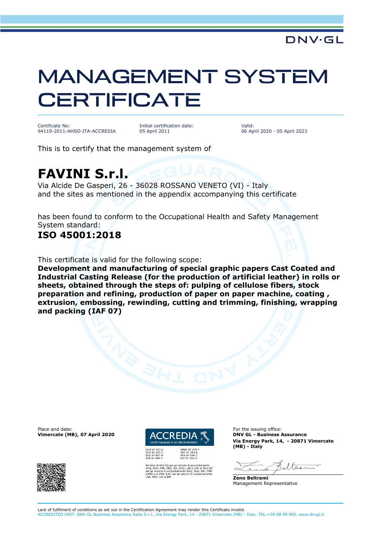# MANAGEMENT SYSTEM **CERTIFICATE**

Certificate No: 94119-2011-AHSO-ITA-ACCREDIA

Initial certification date: 05 April 2011

Valid: 06 April 2020 - 05 April 2023

This is to certify that the management system of

## **FAVINI S.r.l.**

Via Alcide De Gasperi, 26 - 36028 ROSSANO VENETO (VI) - Italy and the sites as mentioned in the appendix accompanying this certificate

has been found to conform to the Occupational Health and Safety Management System standard:

### **ISO 45001:2018**

This certificate is valid for the following scope:

**Development and manufacturing of special graphic papers Cast Coated and Industrial Casting Release (for the production of artificial leather) in rolls or sheets, obtained through the steps of: pulping of cellulose fibers, stock preparation and refining, production of paper on paper machine, coating , extrusion, embossing, rewinding, cutting and trimming, finishing, wrapping and packing (IAF 07)**

Place and date: **For the issuing office:** For the issuing office: **Vimercate (MB), 07 April 2020 DATE ACCREDIA TELL ASSESS DNV GL - Business Assurance** 





-<br>SHG, LAB e LAT, di MLA<br>1ento SGQ, SGA, SSI, FS<br>i schemi di accreditamer

**Via Energy Park, 14, - 20871 Vimercate (MB) - Italy**

eltser

**Zeno Beltrami** Management Representative